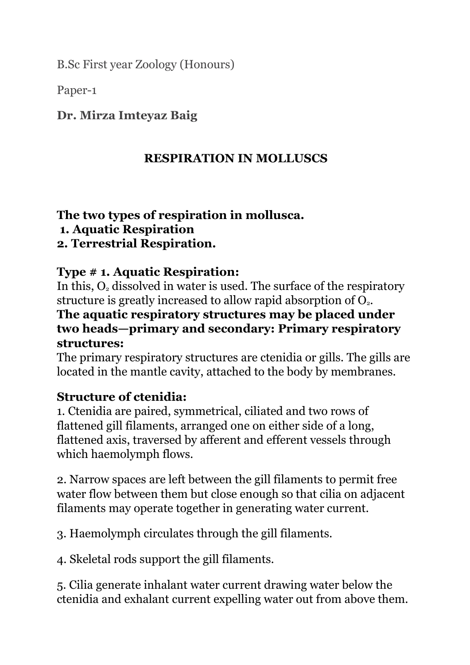B.Sc First year Zoology (Honours)

Paper-1

#### **Dr. Mirza Imteyaz Baig**

#### **RESPIRATION IN MOLLUSCS**

#### **The two types of respiration in mollusca.**

**1. Aquatic Respiration**

#### **2. Terrestrial Respiration.**

#### **Type # 1. Aquatic Respiration:**

In this,  $O<sub>2</sub>$  dissolved in water is used. The surface of the respiratory structure is greatly increased to allow rapid absorption of  $O<sub>2</sub>$ .

#### **The aquatic respiratory structures may be placed under two heads—primary and secondary: Primary respiratory structures:**

The primary respiratory structures are ctenidia or gills. The gills are located in the mantle cavity, attached to the body by membranes.

#### **Structure of ctenidia:**

1. Ctenidia are paired, symmetrical, ciliated and two rows of flattened gill filaments, arranged one on either side of a long, flattened axis, traversed by afferent and efferent vessels through which haemolymph flows.

2. Narrow spaces are left between the gill filaments to permit free water flow between them but close enough so that cilia on adjacent filaments may operate together in generating water current.

3. Haemolymph circulates through the gill filaments.

4. Skeletal rods support the gill filaments.

5. Cilia generate inhalant water current drawing water below the ctenidia and exhalant current expelling water out from above them.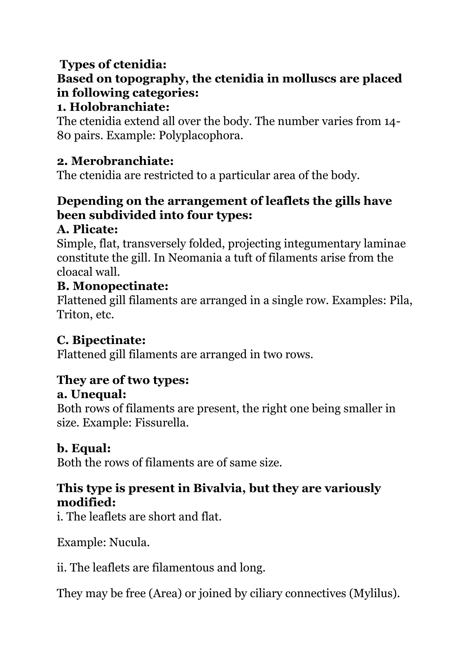# **Types of ctenidia:**

# **Based on topography, the ctenidia in molluscs are placed in following categories:**

#### **1. Holobranchiate:**

The ctenidia extend all over the body. The number varies from 14- 80 pairs. Example: Polyplacophora.

## **2. Merobranchiate:**

The ctenidia are restricted to a particular area of the body.

## **Depending on the arrangement of leaflets the gills have been subdivided into four types:**

#### **A. Plicate:**

Simple, flat, transversely folded, projecting integumentary laminae constitute the gill. In Neomania a tuft of filaments arise from the cloacal wall.

#### **B. Monopectinate:**

Flattened gill filaments are arranged in a single row. Examples: Pila, Triton, etc.

## **C. Bipectinate:**

Flattened gill filaments are arranged in two rows.

## **They are of two types:**

#### **a. Unequal:**

Both rows of filaments are present, the right one being smaller in size. Example: Fissurella.

## **b. Equal:**

Both the rows of filaments are of same size.

## **This type is present in Bivalvia, but they are variously modified:**

i. The leaflets are short and flat.

Example: Nucula.

ii. The leaflets are filamentous and long.

They may be free (Area) or joined by ciliary connectives (Mylilus).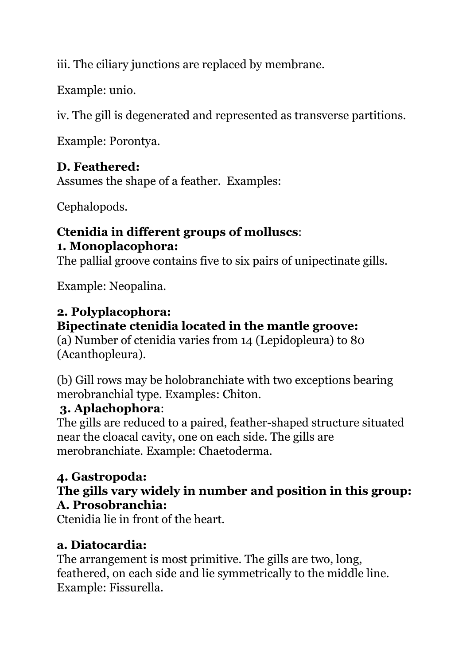iii. The ciliary junctions are replaced by membrane.

Example: unio.

iv. The gill is degenerated and represented as transverse partitions.

Example: Porontya.

## **D. Feathered:**

Assumes the shape of a feather. Examples:

Cephalopods.

#### **Ctenidia in different groups of molluscs**: **1. Monoplacophora:**

The pallial groove contains five to six pairs of unipectinate gills.

Example: Neopalina.

## **2. Polyplacophora:**

## **Bipectinate ctenidia located in the mantle groove:**

(a) Number of ctenidia varies from 14 (Lepidopleura) to 80 (Acanthopleura).

(b) Gill rows may be holobranchiate with two exceptions bearing merobranchial type. Examples: Chiton.

## **3. Aplachophora**:

The gills are reduced to a paired, feather-shaped structure situated near the cloacal cavity, one on each side. The gills are merobranchiate. Example: Chaetoderma.

# **4. Gastropoda:**

#### **The gills vary widely in number and position in this group: A. Prosobranchia:**

Ctenidia lie in front of the heart.

## **a. Diatocardia:**

The arrangement is most primitive. The gills are two, long, feathered, on each side and lie symmetrically to the middle line. Example: Fissurella.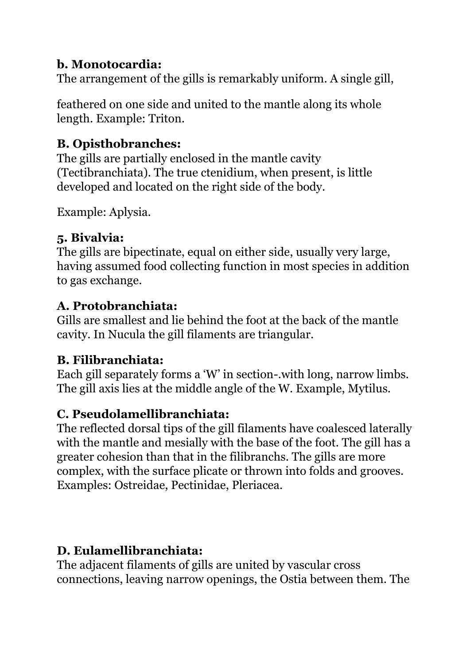# **b. Monotocardia:**

The arrangement of the gills is remarkably uniform. A single gill,

feathered on one side and united to the mantle along its whole length. Example: Triton.

# **B. Opisthobranches:**

The gills are partially enclosed in the mantle cavity (Tectibranchiata). The true ctenidium, when present, is little developed and located on the right side of the body.

Example: Aplysia.

# **5. Bivalvia:**

The gills are bipectinate, equal on either side, usually very large, having assumed food collecting function in most species in addition to gas exchange.

# **A. Protobranchiata:**

Gills are smallest and lie behind the foot at the back of the mantle cavity. In Nucula the gill filaments are triangular.

# **B. Filibranchiata:**

Each gill separately forms a 'W' in section-.with long, narrow limbs. The gill axis lies at the middle angle of the W. Example, Mytilus.

# **C. Pseudolamellibranchiata:**

The reflected dorsal tips of the gill filaments have coalesced laterally with the mantle and mesially with the base of the foot. The gill has a greater cohesion than that in the filibranchs. The gills are more complex, with the surface plicate or thrown into folds and grooves. Examples: Ostreidae, Pectinidae, Pleriacea.

# **D. Eulamellibranchiata:**

The adjacent filaments of gills are united by vascular cross connections, leaving narrow openings, the Ostia between them. The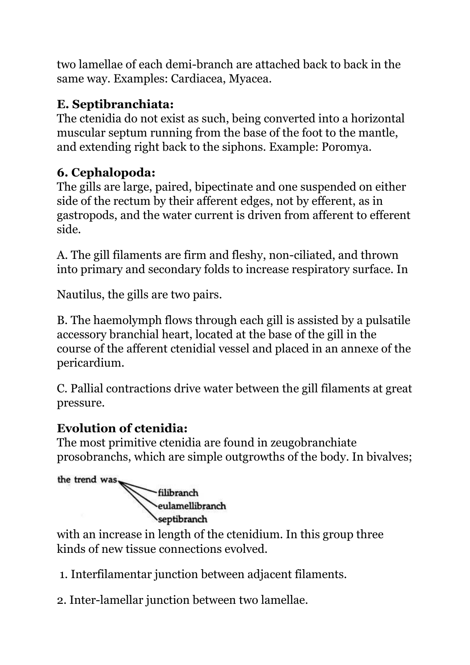two lamellae of each demi-branch are attached back to back in the same way. Examples: Cardiacea, Myacea.

# **E. Septibranchiata:**

The ctenidia do not exist as such, being converted into a horizontal muscular septum running from the base of the foot to the mantle, and extending right back to the siphons. Example: Poromya.

# **6. Cephalopoda:**

The gills are large, paired, bipectinate and one suspended on either side of the rectum by their afferent edges, not by efferent, as in gastropods, and the water current is driven from afferent to efferent side.

A. The gill filaments are firm and fleshy, non-ciliated, and thrown into primary and secondary folds to increase respiratory surface. In

Nautilus, the gills are two pairs.

B. The haemolymph flows through each gill is assisted by a pulsatile accessory branchial heart, located at the base of the gill in the course of the afferent ctenidial vessel and placed in an annexe of the pericardium.

C. Pallial contractions drive water between the gill filaments at great pressure.

# **Evolution of ctenidia:**

The most primitive ctenidia are found in zeugobranchiate prosobranchs, which are simple outgrowths of the body. In bivalves;



with an increase in length of the ctenidium. In this group three kinds of new tissue connections evolved.

- 1. Interfilamentar junction between adjacent filaments.
- 2. Inter-lamellar junction between two lamellae.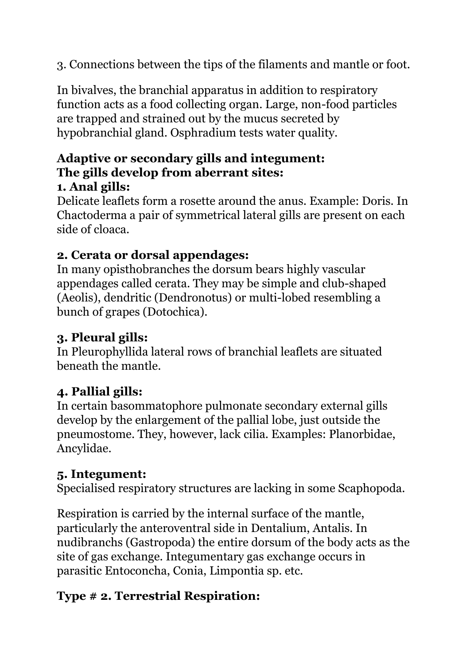3. Connections between the tips of the filaments and mantle or foot.

In bivalves, the branchial apparatus in addition to respiratory function acts as a food collecting organ. Large, non-food particles are trapped and strained out by the mucus secreted by hypobranchial gland. Osphradium tests water quality.

#### **Adaptive or secondary gills and integument: The gills develop from aberrant sites: 1. Anal gills:**

Delicate leaflets form a rosette around the anus. Example: Doris. In Chactoderma a pair of symmetrical lateral gills are present on each side of cloaca.

# **2. Cerata or dorsal appendages:**

In many opisthobranches the dorsum bears highly vascular appendages called cerata. They may be simple and club-shaped (Aeolis), dendritic (Dendronotus) or multi-lobed resembling a bunch of grapes (Dotochica).

# **3. Pleural gills:**

In Pleurophyllida lateral rows of branchial leaflets are situated beneath the mantle.

# **4. Pallial gills:**

In certain basommatophore pulmonate secondary external gills develop by the enlargement of the pallial lobe, just outside the pneumostome. They, however, lack cilia. Examples: Planorbidae, Ancylidae.

# **5. Integument:**

Specialised respiratory structures are lacking in some Scaphopoda.

Respiration is carried by the internal surface of the mantle, particularly the anteroventral side in Dentalium, Antalis. In nudibranchs (Gastropoda) the entire dorsum of the body acts as the site of gas exchange. Integumentary gas exchange occurs in parasitic Entoconcha, Conia, Limpontia sp. etc.

# **Type # 2. Terrestrial Respiration:**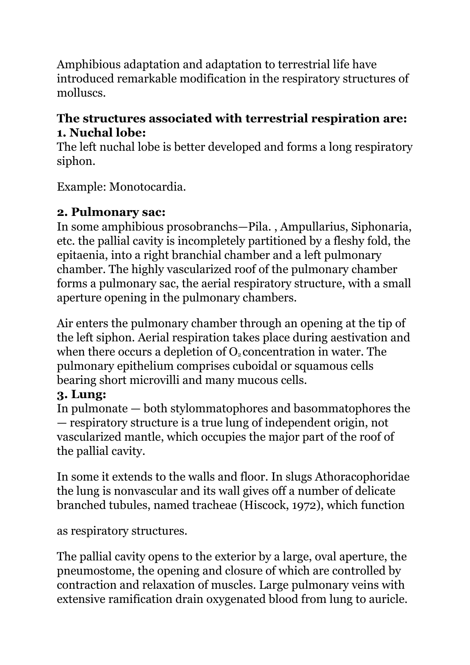Amphibious adaptation and adaptation to terrestrial life have introduced remarkable modification in the respiratory structures of molluscs.

## **The structures associated with terrestrial respiration are: 1. Nuchal lobe:**

The left nuchal lobe is better developed and forms a long respiratory siphon.

Example: Monotocardia.

## **2. Pulmonary sac:**

In some amphibious prosobranchs—Pila. , Ampullarius, Siphonaria, etc. the pallial cavity is incompletely partitioned by a fleshy fold, the epitaenia, into a right branchial chamber and a left pulmonary chamber. The highly vascularized roof of the pulmonary chamber forms a pulmonary sac, the aerial respiratory structure, with a small aperture opening in the pulmonary chambers.

Air enters the pulmonary chamber through an opening at the tip of the left siphon. Aerial respiration takes place during aestivation and when there occurs a depletion of  $O<sub>2</sub>$  concentration in water. The pulmonary epithelium comprises cuboidal or squamous cells bearing short microvilli and many mucous cells.

# **3. Lung:**

In pulmonate — both stylommatophores and basommatophores the — respiratory structure is a true lung of independent origin, not vascularized mantle, which occupies the major part of the roof of the pallial cavity.

In some it extends to the walls and floor. In slugs Athoracophoridae the lung is nonvascular and its wall gives off a number of delicate branched tubules, named tracheae (Hiscock, 1972), which function

as respiratory structures.

The pallial cavity opens to the exterior by a large, oval aperture, the pneumostome, the opening and closure of which are controlled by contraction and relaxation of muscles. Large pulmonary veins with extensive ramification drain oxygenated blood from lung to auricle.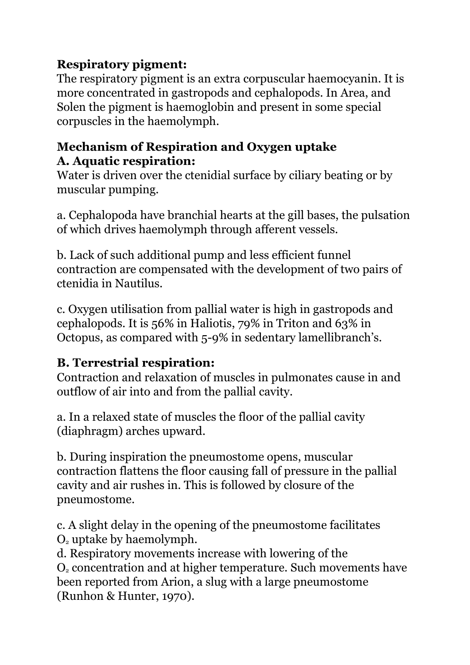# **Respiratory pigment:**

The respiratory pigment is an extra corpuscular haemocyanin. It is more concentrated in gastropods and cephalopods. In Area, and Solen the pigment is haemoglobin and present in some special corpuscles in the haemolymph.

## **Mechanism of Respiration and Oxygen uptake A. Aquatic respiration:**

Water is driven over the ctenidial surface by ciliary beating or by muscular pumping.

a. Cephalopoda have branchial hearts at the gill bases, the pulsation of which drives haemolymph through afferent vessels.

b. Lack of such additional pump and less efficient funnel contraction are compensated with the development of two pairs of ctenidia in Nautilus.

c. Oxygen utilisation from pallial water is high in gastropods and cephalopods. It is 56% in Haliotis, 79% in Triton and 63% in Octopus, as compared with 5-9% in sedentary lamellibranch's.

## **B. Terrestrial respiration:**

Contraction and relaxation of muscles in pulmonates cause in and outflow of air into and from the pallial cavity.

a. In a relaxed state of muscles the floor of the pallial cavity (diaphragm) arches upward.

b. During inspiration the pneumostome opens, muscular contraction flattens the floor causing fall of pressure in the pallial cavity and air rushes in. This is followed by closure of the pneumostome.

c. A slight delay in the opening of the pneumostome facilitates  $O<sub>2</sub>$  uptake by haemolymph.

d. Respiratory movements increase with lowering of the O<sup>2</sup> concentration and at higher temperature. Such movements have been reported from Arion, a slug with a large pneumostome (Runhon & Hunter, 1970).